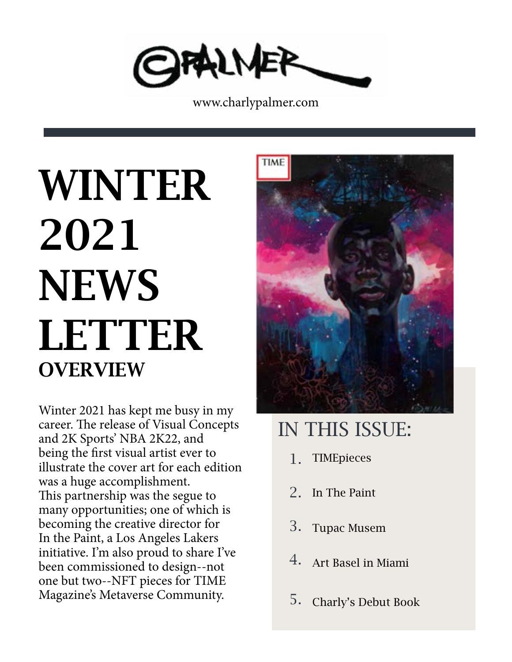

www.charlypalmer.com

# **OVERVIEW** WINTER 2021 **NEWS LETTER**

Winter 2021 has kept me busy in my career. The release of Visual Concepts and 2K Sports' NBA 2K22, and being the first visual artist ever to illustrate the cover art for each edition was a huge accomplishment. This partnership was the segue to many opportunities; one of which is becoming the creative director for In the Paint, a Los Angeles Lakers initiative. I'm also proud to share I've been commissioned to design--not one but two--NFT pieces for TIME Magazine's Metaverse Community.



# IN THIS ISSUE:

- **TIMEpieces** 1.
- 2. In The Paint
- Tupac Musem 3.
- Art Basel in Miami 4.
- Charly's Debut Book 5.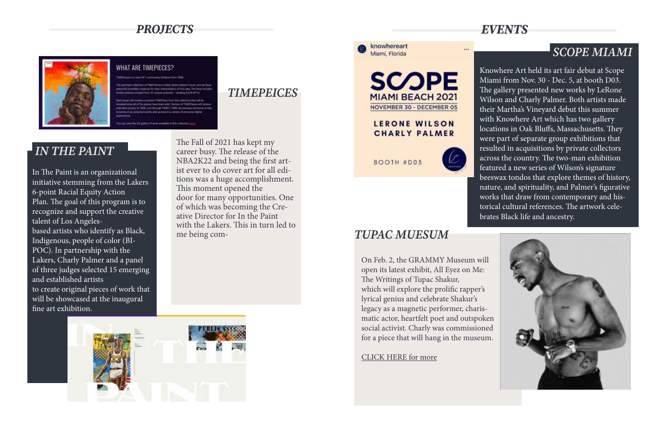In The Paint is an organizational initiative stemming from the Lakers 6-point Racial Equity Action Plan. The goal of this program is to recognize and support the creative talent of Los Angelesbased artists who identify as Black, Indigenous, people of color (BI-POC). In partnership with the Lakers, Charly Palmer and a panel of three judges selected 15 emerging and established artists to create original pieces of work that will be showcased at the inaugural fine art exhibition.

The Fall of 2021 has kept my career busy. The release of the NBA2K22 and being the first artist ever to do cover art for all editions was a huge accomplishment. This moment opened the door for many opportunities. One of which was becoming the Creative Director for In the Paint with the Lakers. This in turn led to me being com-

Knowhere Art held its art fair debut at Scope Miami from Nov. 30 - Dec. 5, at booth D03. The gallery presented new works by LeRone Wilson and Charly Palmer. Both artists made their Martha's Vineyard debut this summer with Knowhere Art which has two gallery locations in Oak Bluffs, Massachusetts. They were part of separate group exhibitions that resulted in acquisitions by private collectors across the country. The two-man exhibition featured a new series of Wilson's signature beeswax tondos that explore themes of history, nature, and spirituality, and Palmer's figurative works that draw from contemporary and historical cultural references. The artwork celebrates Black life and ancestry.



On Feb. 2, the GRAMMY Museum will open its latest exhibit, All Eyez on Me: The Writings of Tupac Shakur, which will explore the prolific rapper's lyrical genius and celebrate Shakur's legacy as a magnetic performer, charismatic actor, heartfelt poet and outspoken social activist. Charly was commissioned for a piece that will hang in the museum.

[CLICK HERE for more](https://grammymuseum.org/event/all-eyez-on-me-celebrating-the-life-and-legacy-of-tupac-shakur/)



#### *PROJECTS EVENTS*



#### WHAT ARE TIMEPIECES?

ing the full gallery of york probable in this collect

# *IN THE PAINT*

## *SCOPE MIAMI*

## *TUPAC MUESUM*

*TIMEPEICES*